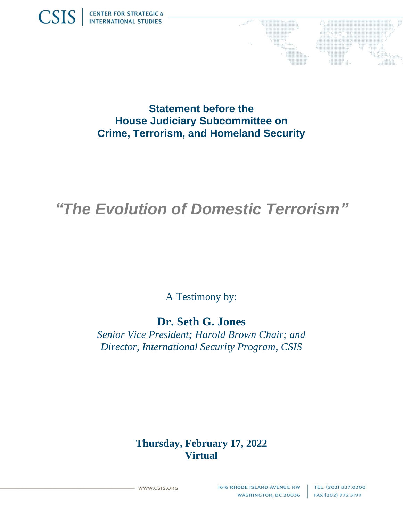



**Statement before the House Judiciary Subcommittee on Crime, Terrorism, and Homeland Security**

# *"The Evolution of Domestic Terrorism"*

A Testimony by:

## **Dr. Seth G. Jones**

*Senior Vice President; Harold Brown Chair; and Director, International Security Program, CSIS*

### **Thursday, February 17, 2022 Virtual**

WWW.CSIS.ORG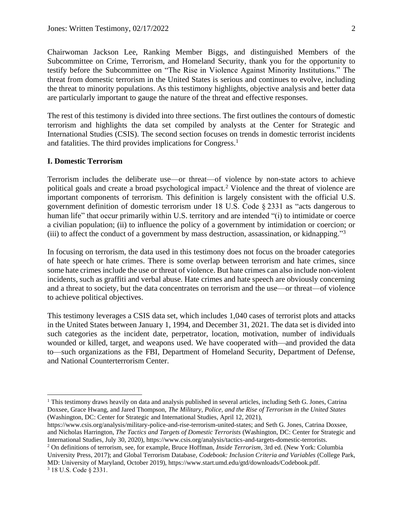Chairwoman Jackson Lee, Ranking Member Biggs, and distinguished Members of the Subcommittee on Crime, Terrorism, and Homeland Security, thank you for the opportunity to testify before the Subcommittee on "The Rise in Violence Against Minority Institutions." The threat from domestic terrorism in the United States is serious and continues to evolve, including the threat to minority populations. As this testimony highlights, objective analysis and better data are particularly important to gauge the nature of the threat and effective responses.

The rest of this testimony is divided into three sections. The first outlines the contours of domestic terrorism and highlights the data set compiled by analysts at the Center for Strategic and International Studies (CSIS). The second section focuses on trends in domestic terrorist incidents and fatalities. The third provides implications for Congress.<sup>1</sup>

#### **I. Domestic Terrorism**

Terrorism includes the deliberate use—or threat—of violence by non-state actors to achieve political goals and create a broad psychological impact.<sup>2</sup> Violence and the threat of violence are important components of terrorism. This definition is largely consistent with the official U.S. government definition of domestic terrorism under 18 U.S. Code § 2331 as "acts dangerous to human life" that occur primarily within U.S. territory and are intended "(i) to intimidate or coerce a civilian population; (ii) to influence the policy of a government by intimidation or coercion; or (iii) to affect the conduct of a government by mass destruction, assassination, or kidnapping."<sup>3</sup>

In focusing on terrorism, the data used in this testimony does not focus on the broader categories of hate speech or hate crimes. There is some overlap between terrorism and hate crimes, since some hate crimes include the use or threat of violence. But hate crimes can also include non-violent incidents, such as graffiti and verbal abuse. Hate crimes and hate speech are obviously concerning and a threat to society, but the data concentrates on terrorism and the use—or threat—of violence to achieve political objectives.

This testimony leverages a CSIS data set, which includes 1,040 cases of terrorist plots and attacks in the United States between January 1, 1994, and December 31, 2021. The data set is divided into such categories as the incident date, perpetrator, location, motivation, number of individuals wounded or killed, target, and weapons used. We have cooperated with—and provided the data to—such organizations as the FBI, Department of Homeland Security, Department of Defense, and National Counterterrorism Center.

<sup>&</sup>lt;sup>1</sup> This testimony draws heavily on data and analysis published in several articles, including Seth G. Jones, Catrina Doxsee, Grace Hwang, and Jared Thompson, *The Military, Police, and the Rise of Terrorism in the United States* (Washington, DC: Center for Strategic and International Studies, April 12, 2021),

https://www.csis.org/analysis/military-police-and-rise-terrorism-united-states; and Seth G. Jones, Catrina Doxsee, and Nicholas Harrington, *The Tactics and Targets of Domestic Terrorists* (Washington, DC: Center for Strategic and International Studies, July 30, 2020), https://www.csis.org/analysis/tactics-and-targets-domestic-terrorists.

<sup>2</sup> On definitions of terrorism, see, for example, Bruce Hoffman, *Inside Terrorism*, 3rd ed. (New York: Columbia University Press, 2017); and Global Terrorism Database, *Codebook: Inclusion Criteria and Variables* (College Park, MD: University of Maryland, October 2019), https://www.start.umd.edu/gtd/downloads/Codebook.pdf. <sup>3</sup> 18 U.S. Code § 2331.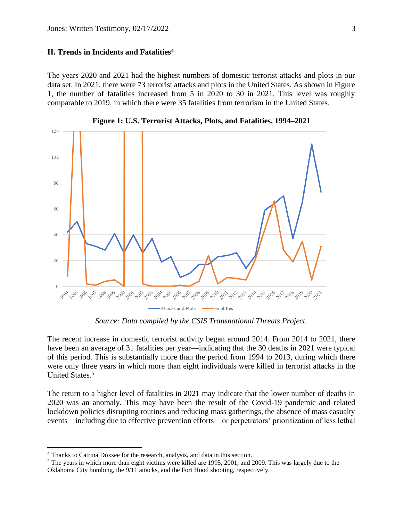#### **II. Trends in Incidents and Fatalities<sup>4</sup>**

The years 2020 and 2021 had the highest numbers of domestic terrorist attacks and plots in our data set. In 2021, there were 73 terrorist attacks and plots in the United States. As shown in Figure 1, the number of fatalities increased from 5 in 2020 to 30 in 2021. This level was roughly comparable to 2019, in which there were 35 fatalities from terrorism in the United States.



**Figure 1: U.S. Terrorist Attacks, Plots, and Fatalities, 1994–2021**

*Source: Data compiled by the CSIS Transnational Threats Project.*

The recent increase in domestic terrorist activity began around 2014. From 2014 to 2021, there have been an average of 31 fatalities per year—indicating that the 30 deaths in 2021 were typical of this period. This is substantially more than the period from 1994 to 2013, during which there were only three years in which more than eight individuals were killed in terrorist attacks in the United States.<sup>5</sup>

The return to a higher level of fatalities in 2021 may indicate that the lower number of deaths in 2020 was an anomaly. This may have been the result of the Covid-19 pandemic and related lockdown policies disrupting routines and reducing mass gatherings, the absence of mass casualty events—including due to effective prevention efforts—or perpetrators' prioritization of less lethal

<sup>4</sup> Thanks to Catrina Doxsee for the research, analysis, and data in this section.

<sup>5</sup> The years in which more than eight victims were killed are 1995, 2001, and 2009. This was largely due to the Oklahoma City bombing, the 9/11 attacks, and the Fort Hood shooting, respectively.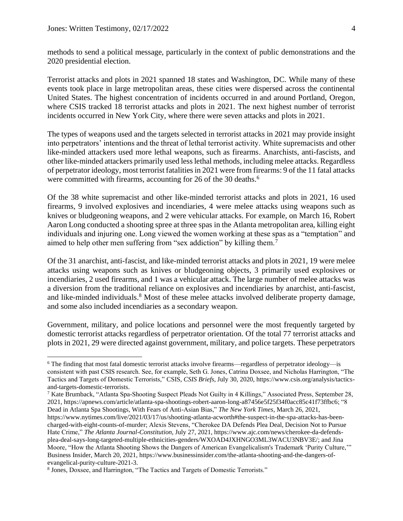methods to send a political message, particularly in the context of public demonstrations and the 2020 presidential election.

Terrorist attacks and plots in 2021 spanned 18 states and Washington, DC. While many of these events took place in large metropolitan areas, these cities were dispersed across the continental United States. The highest concentration of incidents occurred in and around Portland, Oregon, where CSIS tracked 18 terrorist attacks and plots in 2021. The next highest number of terrorist incidents occurred in New York City, where there were seven attacks and plots in 2021.

The types of weapons used and the targets selected in terrorist attacks in 2021 may provide insight into perpetrators' intentions and the threat of lethal terrorist activity. White supremacists and other like-minded attackers used more lethal weapons, such as firearms. Anarchists, anti-fascists, and other like-minded attackers primarily used less lethal methods, including melee attacks. Regardless of perpetrator ideology, most terrorist fatalities in 2021 were from firearms: 9 of the 11 fatal attacks were committed with firearms, accounting for 26 of the 30 deaths.<sup>6</sup>

Of the 38 white supremacist and other like-minded terrorist attacks and plots in 2021, 16 used firearms, 9 involved explosives and incendiaries, 4 were melee attacks using weapons such as knives or bludgeoning weapons, and 2 were vehicular attacks. For example, on March 16, Robert Aaron Long conducted a shooting spree at three spas in the Atlanta metropolitan area, killing eight individuals and injuring one. Long viewed the women working at these spas as a "temptation" and aimed to help other men suffering from "sex addiction" by killing them.<sup>7</sup>

Of the 31 anarchist, anti-fascist, and like-minded terrorist attacks and plots in 2021, 19 were melee attacks using weapons such as knives or bludgeoning objects, 3 primarily used explosives or incendiaries, 2 used firearms, and 1 was a vehicular attack. The large number of melee attacks was a diversion from the traditional reliance on explosives and incendiaries by anarchist, anti-fascist, and like-minded individuals.<sup>8</sup> Most of these melee attacks involved deliberate property damage, and some also included incendiaries as a secondary weapon.

Government, military, and police locations and personnel were the most frequently targeted by domestic terrorist attacks regardless of perpetrator orientation. Of the total 77 terrorist attacks and plots in 2021, 29 were directed against government, military, and police targets. These perpetrators

<sup>6</sup> The finding that most fatal domestic terrorist attacks involve firearms—regardless of perpetrator ideology—is consistent with past CSIS research. See, for example, Seth G. Jones, Catrina Doxsee, and Nicholas Harrington, "The Tactics and Targets of Domestic Terrorists," CSIS, *CSIS Briefs*, July 30, 2020[, https://www.csis.org/analysis/tactics](https://www.csis.org/analysis/tactics-and-targets-domestic-terrorists)[and-targets-domestic-terrorists.](https://www.csis.org/analysis/tactics-and-targets-domestic-terrorists)

<sup>7</sup> Kate Brumback, "Atlanta Spa-Shooting Suspect Pleads Not Guilty in 4 Killings," Associated Press, September 28, 2021, [https://apnews.com/article/atlanta-spa-shootings-robert-aaron-long-a87456e5f25f34f0acc85c41f73ffbc6;](https://apnews.com/article/atlanta-spa-shootings-robert-aaron-long-a87456e5f25f34f0acc85c41f73ffbc6) "8 Dead in Atlanta Spa Shootings, With Fears of Anti-Asian Bias," *The New York Times*, March 26, 2021,

[https://www.nytimes.com/live/2021/03/17/us/shooting-atlanta-acworth#the-suspect-in-the-spa-attacks-has-been](https://www.nytimes.com/live/2021/03/17/us/shooting-atlanta-acworth#the-suspect-in-the-spa-attacks-has-been-charged-with-eight-counts-of-murder)[charged-with-eight-counts-of-murder;](https://www.nytimes.com/live/2021/03/17/us/shooting-atlanta-acworth#the-suspect-in-the-spa-attacks-has-been-charged-with-eight-counts-of-murder) Alexis Stevens, "Cherokee DA Defends Plea Deal, Decision Not to Pursue Hate Crime," *The Atlanta Journal-Constitution*, July 27, 2021[, https://www.ajc.com/news/cherokee-da-defends](https://www.ajc.com/news/cherokee-da-defends-plea-deal-says-long-targeted-multiple-ethnicities-genders/WXOAD4JXHNGO3ML3WACU3NBV3E/)[plea-deal-says-long-targeted-multiple-ethnicities-genders/WXOAD4JXHNGO3ML3WACU3NBV3E/;](https://www.ajc.com/news/cherokee-da-defends-plea-deal-says-long-targeted-multiple-ethnicities-genders/WXOAD4JXHNGO3ML3WACU3NBV3E/) and Jina Moore, "How the Atlanta Shooting Shows the Dangers of American Evangelicalism's Trademark 'Purity Culture,'" Business Insider, March 20, 2021[, https://www.businessinsider.com/the-atlanta-shooting-and-the-dangers-of](https://www.businessinsider.com/the-atlanta-shooting-and-the-dangers-of-evangelical-purity-culture-2021-3)[evangelical-purity-culture-2021-3.](https://www.businessinsider.com/the-atlanta-shooting-and-the-dangers-of-evangelical-purity-culture-2021-3) 

<sup>&</sup>lt;sup>8</sup> Jones, Doxsee, and Harrington, "The Tactics and Targets of Domestic Terrorists."